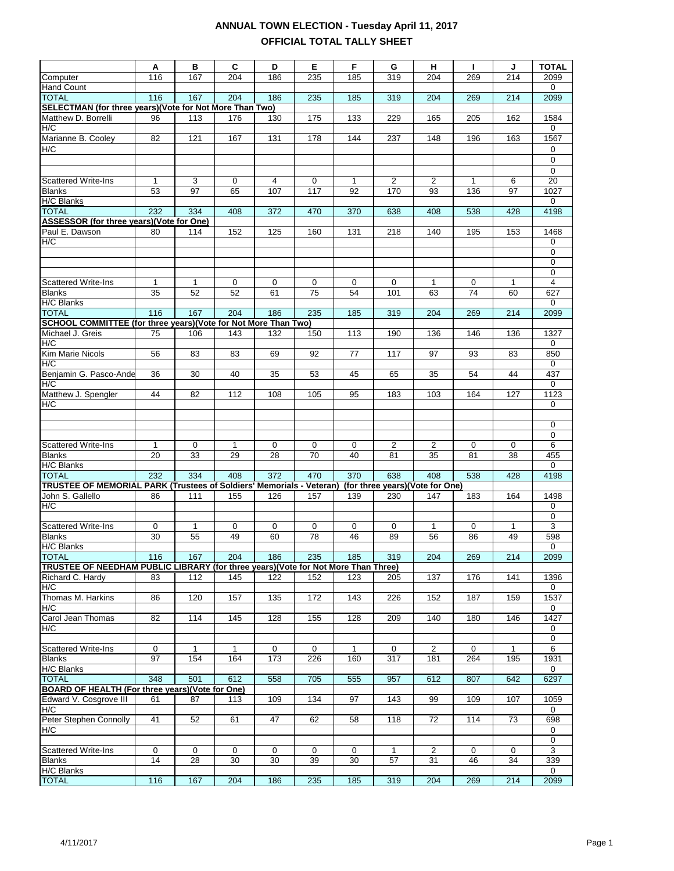|                                                                                   | Α            | в            | C            | D           | Е        | F       | G                               | н                    | Τ.       | J            | <b>TOTAL</b>         |
|-----------------------------------------------------------------------------------|--------------|--------------|--------------|-------------|----------|---------|---------------------------------|----------------------|----------|--------------|----------------------|
| Computer                                                                          | 116          | 167          | 204          | 186         | 235      | 185     | 319                             | 204                  | 269      | 214          | 2099                 |
| Hand Count                                                                        |              |              |              |             |          |         |                                 |                      |          |              | 0                    |
| <b>TOTAL</b>                                                                      | 116          | 167          | 204          | 186         | 235      | 185     | 319                             | 204                  | 269      | 214          | 2099                 |
| SELECTMAN (for three years)(Vote for Not More Than Two)                           |              |              |              |             |          |         |                                 |                      |          |              |                      |
| Matthew D. Borrelli                                                               | 96           | 113          | 176          | 130         | 175      | 133     | 229                             | 165                  | 205      | 162          | 1584                 |
| H/C                                                                               |              |              |              |             |          |         |                                 |                      |          |              | 0                    |
| Marianne B. Cooley                                                                | 82           | 121          | 167          | 131         | 178      | 144     | 237                             | 148                  | 196      | 163          | 1567                 |
| H/C                                                                               |              |              |              |             |          |         |                                 |                      |          |              | 0                    |
|                                                                                   |              |              |              |             |          |         |                                 |                      |          |              | 0                    |
| <b>Scattered Write-Ins</b>                                                        | 1            |              |              |             |          |         | 2                               |                      |          |              | 0<br>$\overline{20}$ |
| <b>Blanks</b>                                                                     | 53           | 3<br>97      | 0<br>65      | 4<br>107    | 0<br>117 | 1<br>92 | 170                             | $\overline{2}$<br>93 | 1<br>136 | 6<br>97      | 1027                 |
| <b>H/C Blanks</b>                                                                 |              |              |              |             |          |         |                                 |                      |          |              | 0                    |
| <b>TOTAL</b>                                                                      | 232          | 334          | 408          | 372         | 470      | 370     | 638                             | 408                  | 538      | 428          | 4198                 |
| ASSESSOR (for three years)(Vote for One)                                          |              |              |              |             |          |         |                                 |                      |          |              |                      |
| Paul E. Dawson                                                                    | 80           | 114          | 152          | 125         | 160      | 131     | 218                             | 140                  | 195      | 153          | 1468                 |
| H/C                                                                               |              |              |              |             |          |         |                                 |                      |          |              | 0                    |
|                                                                                   |              |              |              |             |          |         |                                 |                      |          |              | 0                    |
|                                                                                   |              |              |              |             |          |         |                                 |                      |          |              | 0                    |
|                                                                                   |              |              |              |             |          |         |                                 |                      |          |              | 0                    |
| Scattered Write-Ins                                                               | $\mathbf{1}$ | $\mathbf{1}$ | 0            | 0           | 0        | 0       | 0                               | $\mathbf{1}$         | 0        | 1            | 4                    |
| <b>Blanks</b>                                                                     | 35           | 52           | 52           | 61          | 75       | 54      | 101                             | 63                   | 74       | 60           | 627                  |
| H/C Blanks                                                                        |              |              |              |             |          |         |                                 |                      |          |              | 0                    |
| <b>TOTAL</b>                                                                      | 116          | 167          | 204          | 186         | 235      | 185     | 319                             | 204                  | 269      | 214          | 2099                 |
| SCHOOL COMMITTEE (for three years)(Vote for Not More Than Two)                    |              |              |              |             |          |         |                                 |                      |          |              |                      |
| Michael J. Greis<br>H/C                                                           | 75           | 106          | 143          | 132         | 150      | 113     | 190                             | 136                  | 146      | 136          | 1327                 |
| Kim Marie Nicols                                                                  | 56           | 83           | 83           | 69          | 92       | 77      | 117                             | 97                   | 93       | 83           | 0<br>850             |
| H/C                                                                               |              |              |              |             |          |         |                                 |                      |          |              | 0                    |
| Benjamin G. Pasco-Ande                                                            | 36           | 30           | 40           | 35          | 53       | 45      | 65                              | 35                   | 54       | 44           | 437                  |
| H/C                                                                               |              |              |              |             |          |         |                                 |                      |          |              | 0                    |
| Matthew J. Spengler                                                               | 44           | 82           | 112          | 108         | 105      | 95      | 183                             | 103                  | 164      | 127          | 1123                 |
| H/C                                                                               |              |              |              |             |          |         |                                 |                      |          |              | 0                    |
|                                                                                   |              |              |              |             |          |         |                                 |                      |          |              |                      |
|                                                                                   |              |              |              |             |          |         |                                 |                      |          |              | 0                    |
|                                                                                   |              |              |              |             |          |         |                                 |                      |          |              | 0                    |
| <b>Scattered Write-Ins</b>                                                        | 1            | 0            | $\mathbf{1}$ | $\mathbf 0$ | 0        | 0       | $\overline{c}$                  | $\overline{2}$       | 0        | 0            | 6                    |
| <b>Blanks</b>                                                                     | 20           | 33           | 29           | 28          | 70       | 40      | 81                              | 35                   | 81       | 38           | 455                  |
| H/C Blanks                                                                        |              |              |              |             |          |         |                                 |                      |          |              | 0                    |
| <b>TOTAL</b>                                                                      | 232          | 334          | 408          | 372         | 470      | 370     | 638                             | 408                  | 538      | 428          | 4198                 |
| <b>TRUSTEE OF MEMORIAL PARK (Trustees of Soldiers' Memorials - Veteran)</b>       |              |              |              |             |          |         | (for three years)(Vote for One) |                      |          |              |                      |
| John S. Gallello                                                                  | 86           | 111          | 155          | 126         | 157      | 139     | 230                             | 147                  | 183      | 164          | 1498                 |
| H/C                                                                               |              |              |              |             |          |         |                                 |                      |          |              | 0<br>0               |
| Scattered Write-Ins                                                               | 0            | $\mathbf{1}$ | 0            | 0           | 0        | 0       | 0                               | $\mathbf{1}$         | 0        | $\mathbf{1}$ | 3                    |
| <b>Blanks</b>                                                                     | 30           | 55           | 49           | 60          | 78       | 46      | 89                              | 56                   | 86       | 49           | 598                  |
| <b>H/C Blanks</b>                                                                 |              |              |              |             |          |         |                                 |                      |          |              | 0                    |
| <b>TOTAL</b>                                                                      | 116          | 167          | 204          | 186         | 235      | 185     | 319                             | 204                  | 269      | 214          | 2099                 |
| TRUSTEE OF NEEDHAM PUBLIC LIBRARY (for three years)(Vote for Not More Than Three) |              |              |              |             |          |         |                                 |                      |          |              |                      |
| Richard C. Hardy                                                                  | 83           | 112          | 145          | 122         | 152      | 123     | 205                             | 137                  | 176      | 141          | 1396                 |
| H/C                                                                               |              |              |              |             |          |         |                                 |                      |          |              | 0                    |
| Thomas M. Harkins                                                                 | 86           | 120          | 157          | 135         | 172      | 143     | 226                             | 152                  | 187      | 159          | 1537                 |
| H/C                                                                               |              |              |              |             |          |         |                                 |                      |          |              | 0                    |
| Carol Jean Thomas                                                                 | 82           | 114          | 145          | 128         | 155      | 128     | 209                             | 140                  | 180      | 146          | 1427                 |
| H/C                                                                               |              |              |              |             |          |         |                                 |                      |          |              | 0                    |
|                                                                                   |              |              |              |             |          |         |                                 |                      |          |              | $\overline{0}$       |
| <b>Scattered Write-Ins</b>                                                        | 0            | 1            | $\mathbf 1$  | 0           | 0        | 1       | 0                               | $\overline{2}$       | 0        | $\mathbf{1}$ | 6                    |
| <b>Blanks</b>                                                                     | 97           | 154          | 164          | 173         | 226      | 160     | 317                             | 181                  | 264      | 195          | 1931                 |
| H/C Blanks                                                                        |              |              |              |             |          |         |                                 |                      |          |              | 0                    |
| <b>TOTAL</b><br>BOARD OF HEALTH (For three years)(Vote for One)                   | 348          | 501          | 612          | 558         | 705      | 555     | 957                             | 612                  | 807      | 642          | 6297                 |
|                                                                                   | 61           | 87           | 113          | 109         | 134      | 97      | 143                             | 99                   | 109      | 107          |                      |
| Edward V. Cosgrove III<br>H/C                                                     |              |              |              |             |          |         |                                 |                      |          |              | 1059<br>0            |
| Peter Stephen Connolly                                                            | 41           | 52           | 61           | 47          | 62       | 58      | 118                             | 72                   | 114      | 73           | 698                  |
| H/C                                                                               |              |              |              |             |          |         |                                 |                      |          |              | 0                    |
|                                                                                   |              |              |              |             |          |         |                                 |                      |          |              | 0                    |
| <b>Scattered Write-Ins</b>                                                        | 0            | $\mathbf 0$  | 0            | $\mathbf 0$ | 0        | 0       | 1                               | $\overline{2}$       | 0        | 0            | 3                    |
| <b>Blanks</b>                                                                     | 14           | 28           | 30           | 30          | 39       | 30      | 57                              | 31                   | 46       | 34           | 339                  |
| <b>H/C Blanks</b>                                                                 |              |              |              |             |          |         |                                 |                      |          |              | $\mathbf 0$          |
| <b>TOTAL</b>                                                                      | 116          | 167          | 204          | 186         | 235      | 185     | 319                             | 204                  | 269      | 214          | 2099                 |
|                                                                                   |              |              |              |             |          |         |                                 |                      |          |              |                      |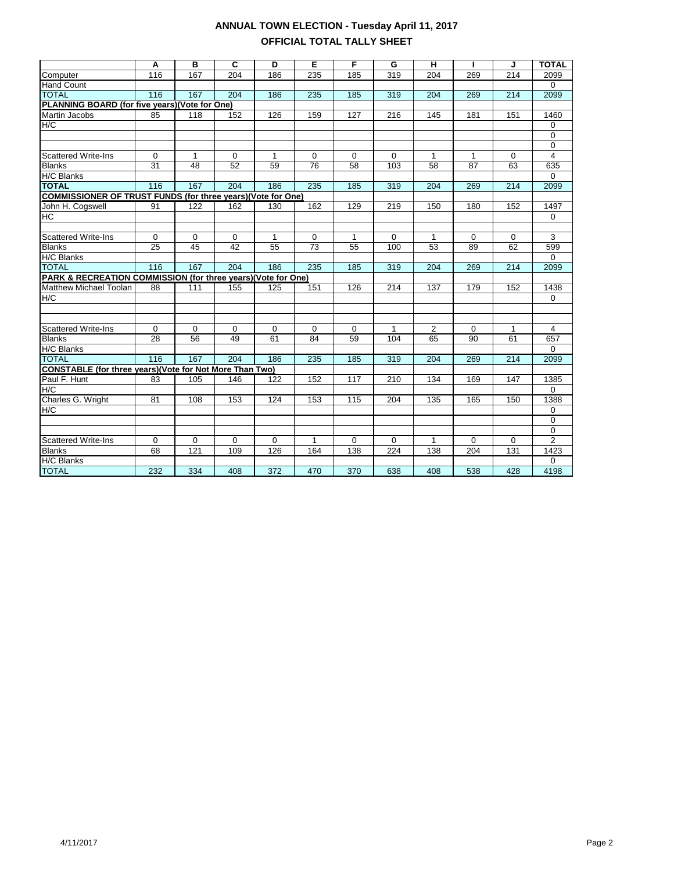|                                                                    | Α               | B               | C           | D            | Е            | F            | G           | н              | т            | J           | <b>TOTAL</b>   |
|--------------------------------------------------------------------|-----------------|-----------------|-------------|--------------|--------------|--------------|-------------|----------------|--------------|-------------|----------------|
| Computer                                                           | 116             | 167             | 204         | 186          | 235          | 185          | 319         | 204            | 269          | 214         | 2099           |
|                                                                    |                 |                 |             |              |              |              |             |                |              |             | $\mathbf 0$    |
| <b>Hand Count</b><br><b>TOTAL</b>                                  | 116             | 167             | 204         | 186          | 235          | 185          | 319         | 204            | 269          | 214         | 2099           |
|                                                                    |                 |                 |             |              |              |              |             |                |              |             |                |
| PLANNING BOARD (for five years) (Vote for One)<br>Martin Jacobs    | 85              | 118             | 152         | 126          | 159          | 127          | 216         | 145            | 181          | 151         | 1460           |
| H/C                                                                |                 |                 |             |              |              |              |             |                |              |             |                |
|                                                                    |                 |                 |             |              |              |              |             |                |              |             | 0              |
|                                                                    |                 |                 |             |              |              |              |             |                |              |             | 0<br>0         |
| <b>Scattered Write-Ins</b>                                         | $\mathbf 0$     | $\mathbf{1}$    | $\mathbf 0$ | $\mathbf{1}$ | $\mathbf 0$  | $\mathbf 0$  | $\mathbf 0$ | $\mathbf{1}$   | $\mathbf{1}$ | $\mathbf 0$ | $\overline{4}$ |
| <b>Blanks</b>                                                      | 31              | 48              | 52          | 59           | 76           | 58           | 103         | 58             | 87           | 63          | 635            |
| H/C Blanks                                                         |                 |                 |             |              |              |              |             |                |              |             | $\mathbf 0$    |
| <b>TOTAL</b>                                                       | 116             | 167             | 204         | 186          | 235          | 185          | 319         | 204            | 269          | 214         | 2099           |
| <b>COMMISSIONER OF TRUST FUNDS (for three years)(Vote for One)</b> |                 |                 |             |              |              |              |             |                |              |             |                |
| John H. Cogswell                                                   | 91              | 122             | 162         | 130          | 162          | 129          | 219         | 150            | 180          | 152         | 1497           |
| <b>HC</b>                                                          |                 |                 |             |              |              |              |             |                |              |             | 0              |
|                                                                    |                 |                 |             |              |              |              |             |                |              |             |                |
| Scattered Write-Ins                                                | 0               | $\mathbf 0$     | $\Omega$    | 1            | $\mathbf 0$  | $\mathbf{1}$ | $\Omega$    | $\mathbf{1}$   | $\Omega$     | 0           | 3              |
| <b>Blanks</b>                                                      | $\overline{25}$ | $\overline{45}$ | 42          | 55           | 73           | 55           | 100         | 53             | 89           | 62          | 599            |
| <b>H/C Blanks</b>                                                  |                 |                 |             |              |              |              |             |                |              |             | 0              |
| <b>TOTAL</b>                                                       | 116             | 167             | 204         | 186          | 235          | 185          | 319         | 204            | 269          | 214         | 2099           |
| PARK & RECREATION COMMISSION (for three years)(Vote for One)       |                 |                 |             |              |              |              |             |                |              |             |                |
| <b>Matthew Michael Toolan</b>                                      | 88              | 111             | 155         | 125          | 151          | 126          | 214         | 137            | 179          | 152         | 1438           |
| H/C                                                                |                 |                 |             |              |              |              |             |                |              |             | 0              |
|                                                                    |                 |                 |             |              |              |              |             |                |              |             |                |
|                                                                    |                 |                 |             |              |              |              |             |                |              |             |                |
| <b>Scattered Write-Ins</b>                                         | 0               | 0               | $\mathbf 0$ | $\mathbf 0$  | 0            | 0            | 1           | $\overline{2}$ | 0            | 1           | 4              |
| <b>Blanks</b>                                                      | 28              | 56              | 49          | 61           | 84           | 59           | 104         | 65             | 90           | 61          | 657            |
| <b>H/C Blanks</b>                                                  |                 |                 |             |              |              |              |             |                |              |             | $\mathbf 0$    |
| <b>TOTAL</b>                                                       | 116             | 167             | 204         | 186          | 235          | 185          | 319         | 204            | 269          | 214         | 2099           |
| <b>CONSTABLE (for three years)(Vote for Not More Than Two)</b>     |                 |                 |             |              |              |              |             |                |              |             |                |
| Paul F. Hunt                                                       | 83              | 105             | 146         | 122          | 152          | 117          | 210         | 134            | 169          | 147         | 1385           |
| H/C                                                                |                 |                 |             |              |              |              |             |                |              |             | 0              |
| Charles G. Wright                                                  | 81              | 108             | 153         | 124          | 153          | 115          | 204         | 135            | 165          | 150         | 1388           |
| H/C                                                                |                 |                 |             |              |              |              |             |                |              |             | 0              |
|                                                                    |                 |                 |             |              |              |              |             |                |              |             | 0              |
|                                                                    |                 |                 |             |              |              |              |             |                |              |             | 0              |
| <b>Scattered Write-Ins</b>                                         | 0               | $\mathbf 0$     | 0           | 0            | $\mathbf{1}$ | 0            | 0           | 1              | $\Omega$     | $\mathbf 0$ | $\overline{2}$ |
| <b>Blanks</b>                                                      | 68              | 121             | 109         | 126          | 164          | 138          | 224         | 138            | 204          | 131         | 1423           |
| H/C Blanks                                                         |                 |                 |             |              |              |              |             |                |              |             | 0              |
| <b>TOTAL</b>                                                       | 232             | 334             | 408         | 372          | 470          | 370          | 638         | 408            | 538          | 428         | 4198           |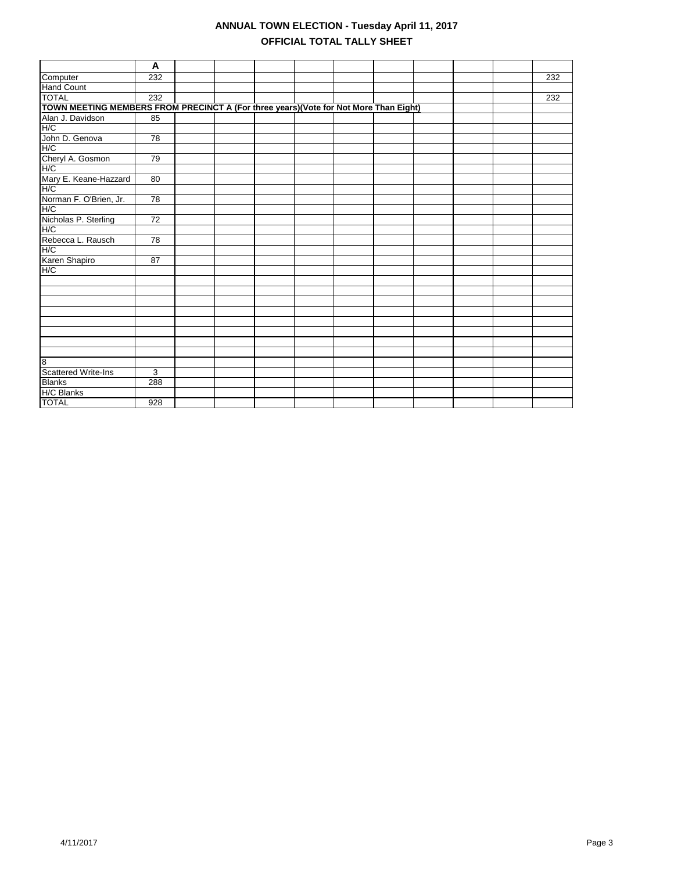|                                                                                      | A               |  |  |  |  |     |
|--------------------------------------------------------------------------------------|-----------------|--|--|--|--|-----|
| Computer                                                                             | 232             |  |  |  |  | 232 |
| <b>Hand Count</b>                                                                    |                 |  |  |  |  |     |
| <b>TOTAL</b>                                                                         | 232             |  |  |  |  | 232 |
| TOWN MEETING MEMBERS FROM PRECINCT A (For three years)(Vote for Not More Than Eight) |                 |  |  |  |  |     |
| Alan J. Davidson                                                                     | 85              |  |  |  |  |     |
| H/C                                                                                  |                 |  |  |  |  |     |
|                                                                                      | 78              |  |  |  |  |     |
| John D. Genova<br>H/C                                                                |                 |  |  |  |  |     |
| Cheryl A. Gosmon<br>H/C                                                              | 79              |  |  |  |  |     |
|                                                                                      |                 |  |  |  |  |     |
| Mary E. Keane-Hazzard<br>H/C                                                         | 80              |  |  |  |  |     |
|                                                                                      |                 |  |  |  |  |     |
| Norman F. O'Brien, Jr.                                                               | 78              |  |  |  |  |     |
| H/C                                                                                  |                 |  |  |  |  |     |
| Nicholas P. Sterling                                                                 | $\overline{72}$ |  |  |  |  |     |
| H/C                                                                                  |                 |  |  |  |  |     |
| Rebecca L. Rausch                                                                    | $\overline{78}$ |  |  |  |  |     |
| H/C                                                                                  |                 |  |  |  |  |     |
| Karen Shapiro                                                                        | 87              |  |  |  |  |     |
| H/C                                                                                  |                 |  |  |  |  |     |
|                                                                                      |                 |  |  |  |  |     |
|                                                                                      |                 |  |  |  |  |     |
|                                                                                      |                 |  |  |  |  |     |
|                                                                                      |                 |  |  |  |  |     |
|                                                                                      |                 |  |  |  |  |     |
|                                                                                      |                 |  |  |  |  |     |
|                                                                                      |                 |  |  |  |  |     |
|                                                                                      |                 |  |  |  |  |     |
| 8                                                                                    |                 |  |  |  |  |     |
| <b>Scattered Write-Ins</b>                                                           | 3               |  |  |  |  |     |
| <b>Blanks</b>                                                                        | 288             |  |  |  |  |     |
| H/C Blanks                                                                           |                 |  |  |  |  |     |
| <b>TOTAL</b>                                                                         | 928             |  |  |  |  |     |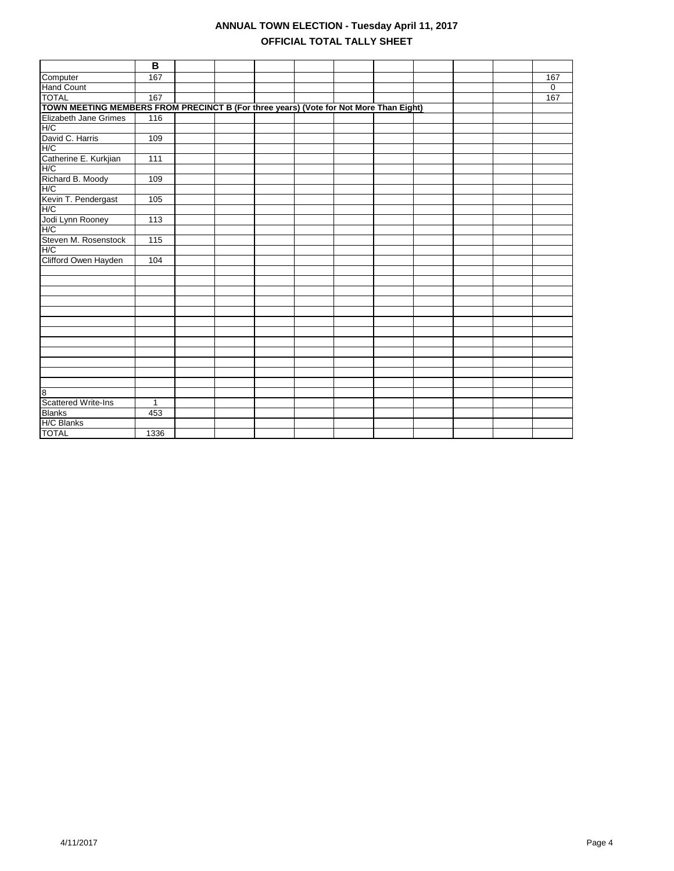|                                                                                       | В            |  |  |  |  |             |
|---------------------------------------------------------------------------------------|--------------|--|--|--|--|-------------|
| Computer                                                                              | 167          |  |  |  |  | 167         |
| Hand Count                                                                            |              |  |  |  |  | $\mathbf 0$ |
| <b>TOTAL</b>                                                                          | 167          |  |  |  |  | 167         |
| TOWN MEETING MEMBERS FROM PRECINCT B (For three years) (Vote for Not More Than Eight) |              |  |  |  |  |             |
| Elizabeth Jane Grimes                                                                 | 116          |  |  |  |  |             |
| H/C                                                                                   |              |  |  |  |  |             |
| David C. Harris                                                                       | 109          |  |  |  |  |             |
| H/C                                                                                   |              |  |  |  |  |             |
| Catherine E. Kurkjian                                                                 | 111          |  |  |  |  |             |
| H/C                                                                                   |              |  |  |  |  |             |
| Richard B. Moody                                                                      | 109          |  |  |  |  |             |
| H/C                                                                                   |              |  |  |  |  |             |
| Kevin T. Pendergast                                                                   | 105          |  |  |  |  |             |
| H/C                                                                                   |              |  |  |  |  |             |
| Jodi Lynn Rooney                                                                      | 113          |  |  |  |  |             |
| H/C                                                                                   |              |  |  |  |  |             |
| Steven M. Rosenstock                                                                  | 115          |  |  |  |  |             |
| H/C                                                                                   |              |  |  |  |  |             |
| Clifford Owen Hayden                                                                  | 104          |  |  |  |  |             |
|                                                                                       |              |  |  |  |  |             |
|                                                                                       |              |  |  |  |  |             |
|                                                                                       |              |  |  |  |  |             |
|                                                                                       |              |  |  |  |  |             |
|                                                                                       |              |  |  |  |  |             |
|                                                                                       |              |  |  |  |  |             |
|                                                                                       |              |  |  |  |  |             |
|                                                                                       |              |  |  |  |  |             |
|                                                                                       |              |  |  |  |  |             |
|                                                                                       |              |  |  |  |  |             |
|                                                                                       |              |  |  |  |  |             |
|                                                                                       |              |  |  |  |  |             |
| $\overline{8}$                                                                        |              |  |  |  |  |             |
| <b>Scattered Write-Ins</b>                                                            | $\mathbf{1}$ |  |  |  |  |             |
| <b>Blanks</b>                                                                         | 453          |  |  |  |  |             |
| H/C Blanks                                                                            |              |  |  |  |  |             |
| <b>TOTAL</b>                                                                          | 1336         |  |  |  |  |             |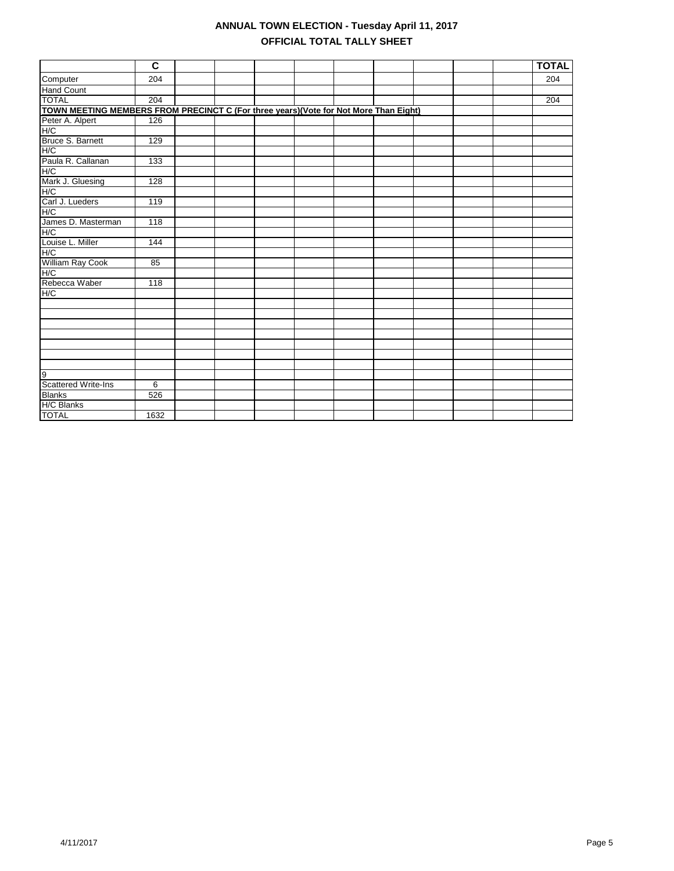|                                                                                      | C                |  |  |  |  | <b>TOTAL</b>     |
|--------------------------------------------------------------------------------------|------------------|--|--|--|--|------------------|
| Computer                                                                             | 204              |  |  |  |  | 204              |
| <b>Hand Count</b>                                                                    |                  |  |  |  |  |                  |
| <b>TOTAL</b>                                                                         | $\overline{204}$ |  |  |  |  | $\overline{204}$ |
| TOWN MEETING MEMBERS FROM PRECINCT C (For three years)(Vote for Not More Than Eight) |                  |  |  |  |  |                  |
| Peter A. Alpert                                                                      | 126              |  |  |  |  |                  |
| H/C                                                                                  |                  |  |  |  |  |                  |
| Bruce S. Barnett                                                                     | 129              |  |  |  |  |                  |
| H/C                                                                                  |                  |  |  |  |  |                  |
| Paula R. Callanan<br>H/C                                                             | 133              |  |  |  |  |                  |
|                                                                                      |                  |  |  |  |  |                  |
| Mark J. Gluesing                                                                     | 128              |  |  |  |  |                  |
| H/C                                                                                  |                  |  |  |  |  |                  |
| Carl J. Lueders                                                                      | 119              |  |  |  |  |                  |
| H/C                                                                                  |                  |  |  |  |  |                  |
| James D. Masterman                                                                   | 118              |  |  |  |  |                  |
| H/C                                                                                  |                  |  |  |  |  |                  |
| Louise L. Miller                                                                     | 144              |  |  |  |  |                  |
| H/C                                                                                  |                  |  |  |  |  |                  |
| William Ray Cook                                                                     | 85               |  |  |  |  |                  |
| H/C                                                                                  |                  |  |  |  |  |                  |
| Rebecca Waber                                                                        | 118              |  |  |  |  |                  |
| H/C                                                                                  |                  |  |  |  |  |                  |
|                                                                                      |                  |  |  |  |  |                  |
|                                                                                      |                  |  |  |  |  |                  |
|                                                                                      |                  |  |  |  |  |                  |
|                                                                                      |                  |  |  |  |  |                  |
|                                                                                      |                  |  |  |  |  |                  |
|                                                                                      |                  |  |  |  |  |                  |
|                                                                                      |                  |  |  |  |  |                  |
| g                                                                                    |                  |  |  |  |  |                  |
| Scattered Write-Ins                                                                  | 6                |  |  |  |  |                  |
| <b>Blanks</b>                                                                        | 526              |  |  |  |  |                  |
| H/C Blanks                                                                           |                  |  |  |  |  |                  |
| <b>TOTAL</b>                                                                         | 1632             |  |  |  |  |                  |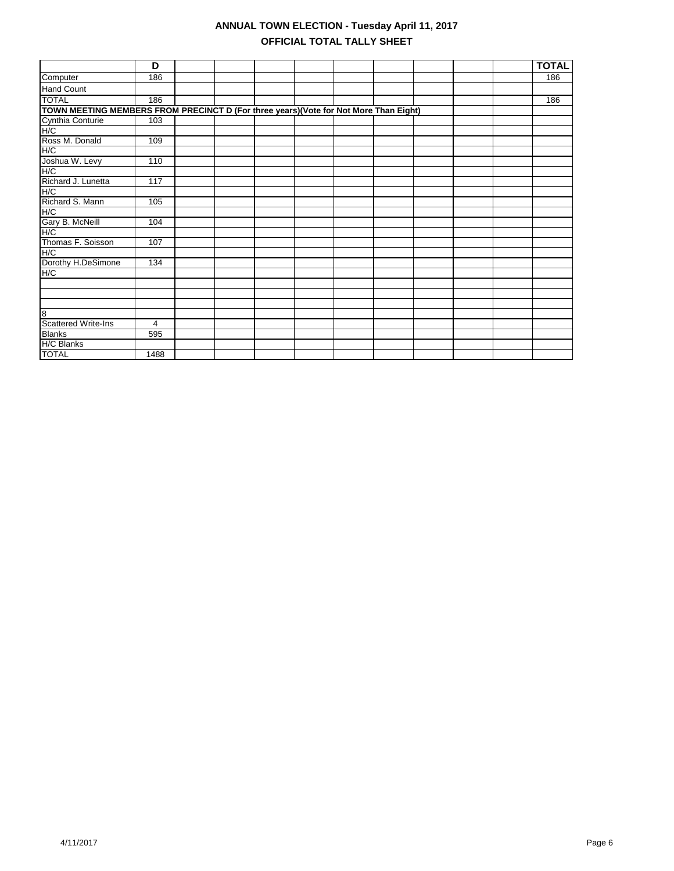|                                                                                      | D              |  |  |  |  | <b>TOTAL</b> |
|--------------------------------------------------------------------------------------|----------------|--|--|--|--|--------------|
| Computer                                                                             | 186            |  |  |  |  | 186          |
| Hand Count                                                                           |                |  |  |  |  |              |
| <b>TOTAL</b>                                                                         | 186            |  |  |  |  | 186          |
| TOWN MEETING MEMBERS FROM PRECINCT D (For three years)(Vote for Not More Than Eight) |                |  |  |  |  |              |
| Cynthia Conturie                                                                     | 103            |  |  |  |  |              |
| H/C                                                                                  |                |  |  |  |  |              |
| Ross M. Donald                                                                       | 109            |  |  |  |  |              |
| H/C                                                                                  |                |  |  |  |  |              |
| Joshua W. Levy                                                                       | 110            |  |  |  |  |              |
| H/C                                                                                  |                |  |  |  |  |              |
| Richard J. Lunetta                                                                   | 117            |  |  |  |  |              |
| H/C                                                                                  |                |  |  |  |  |              |
| Richard S. Mann                                                                      | 105            |  |  |  |  |              |
| H/C                                                                                  |                |  |  |  |  |              |
| Gary B. McNeill                                                                      | 104            |  |  |  |  |              |
| H/C                                                                                  |                |  |  |  |  |              |
| Thomas F. Soisson                                                                    | 107            |  |  |  |  |              |
| H/C                                                                                  |                |  |  |  |  |              |
| Dorothy H.DeSimone                                                                   | 134            |  |  |  |  |              |
| H/C                                                                                  |                |  |  |  |  |              |
|                                                                                      |                |  |  |  |  |              |
|                                                                                      |                |  |  |  |  |              |
|                                                                                      |                |  |  |  |  |              |
| 8                                                                                    |                |  |  |  |  |              |
| Scattered Write-Ins                                                                  | $\overline{4}$ |  |  |  |  |              |
| <b>Blanks</b>                                                                        | 595            |  |  |  |  |              |
| <b>H/C Blanks</b>                                                                    |                |  |  |  |  |              |
| <b>TOTAL</b>                                                                         | 1488           |  |  |  |  |              |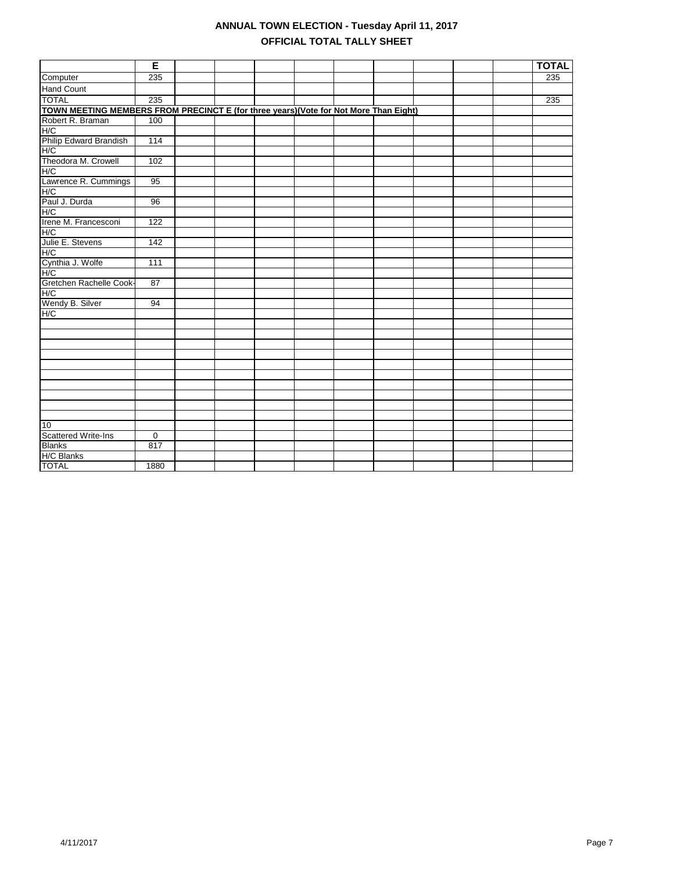|                                                                                      | E               |  |  |  |  | <b>TOTAL</b> |
|--------------------------------------------------------------------------------------|-----------------|--|--|--|--|--------------|
| Computer                                                                             | 235             |  |  |  |  | 235          |
| <b>Hand Count</b>                                                                    |                 |  |  |  |  |              |
| <b>TOTAL</b>                                                                         | 235             |  |  |  |  | 235          |
| TOWN MEETING MEMBERS FROM PRECINCT E (for three years)(Vote for Not More Than Eight) |                 |  |  |  |  |              |
| Robert R. Braman                                                                     | 100             |  |  |  |  |              |
| H/C                                                                                  |                 |  |  |  |  |              |
| Philip Edward Brandish                                                               | 114             |  |  |  |  |              |
| H/C                                                                                  |                 |  |  |  |  |              |
| Theodora M. Crowell                                                                  | 102             |  |  |  |  |              |
| H/C                                                                                  |                 |  |  |  |  |              |
| Lawrence R. Cummings                                                                 | 95              |  |  |  |  |              |
| H/C                                                                                  |                 |  |  |  |  |              |
| Paul J. Durda                                                                        | 96              |  |  |  |  |              |
| H/C                                                                                  |                 |  |  |  |  |              |
| Irene M. Francesconi                                                                 | 122             |  |  |  |  |              |
| H/C                                                                                  |                 |  |  |  |  |              |
| Julie E. Stevens                                                                     | 142             |  |  |  |  |              |
| H/C                                                                                  |                 |  |  |  |  |              |
| Cynthia J. Wolfe                                                                     | 111             |  |  |  |  |              |
| H/C                                                                                  |                 |  |  |  |  |              |
| Gretchen Rachelle Cook-                                                              | $\overline{87}$ |  |  |  |  |              |
| H/C                                                                                  |                 |  |  |  |  |              |
| Wendy B. Silver                                                                      | 94              |  |  |  |  |              |
| H/C                                                                                  |                 |  |  |  |  |              |
|                                                                                      |                 |  |  |  |  |              |
|                                                                                      |                 |  |  |  |  |              |
|                                                                                      |                 |  |  |  |  |              |
|                                                                                      |                 |  |  |  |  |              |
|                                                                                      |                 |  |  |  |  |              |
|                                                                                      |                 |  |  |  |  |              |
|                                                                                      |                 |  |  |  |  |              |
|                                                                                      |                 |  |  |  |  |              |
|                                                                                      |                 |  |  |  |  |              |
|                                                                                      |                 |  |  |  |  |              |
| 10                                                                                   |                 |  |  |  |  |              |
| <b>Scattered Write-Ins</b>                                                           | 0               |  |  |  |  |              |
| <b>Blanks</b>                                                                        | 817             |  |  |  |  |              |
| H/C Blanks                                                                           |                 |  |  |  |  |              |
| <b>TOTAL</b>                                                                         | 1880            |  |  |  |  |              |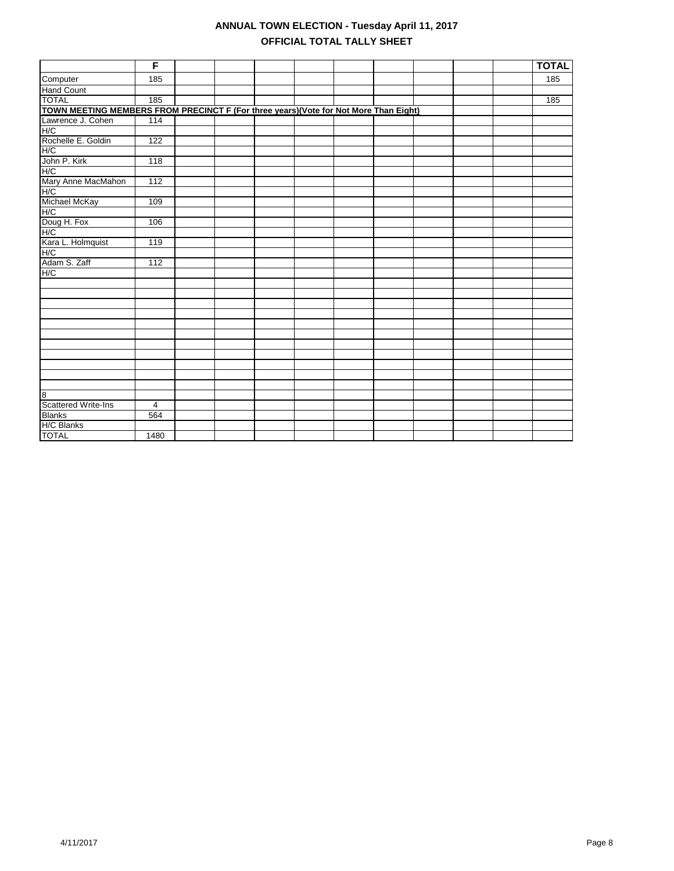|                                                                                       | F              |  |  |  |  | <b>TOTAL</b> |
|---------------------------------------------------------------------------------------|----------------|--|--|--|--|--------------|
| Computer                                                                              | 185            |  |  |  |  | 185          |
| <b>Hand Count</b>                                                                     |                |  |  |  |  |              |
| <b>TOTAL</b>                                                                          | 185            |  |  |  |  | 185          |
| TOWN MEETING MEMBERS FROM PRECINCT F (For three years) (Vote for Not More Than Eight) |                |  |  |  |  |              |
| Lawrence J. Cohen                                                                     | 114            |  |  |  |  |              |
| H/C                                                                                   |                |  |  |  |  |              |
| Rochelle E. Goldin                                                                    | 122            |  |  |  |  |              |
| H/C                                                                                   |                |  |  |  |  |              |
| John P. Kirk                                                                          | 118            |  |  |  |  |              |
| H/C                                                                                   |                |  |  |  |  |              |
| Mary Anne MacMahon                                                                    | 112            |  |  |  |  |              |
| H/C                                                                                   |                |  |  |  |  |              |
| Michael McKay                                                                         | 109            |  |  |  |  |              |
| H/C                                                                                   |                |  |  |  |  |              |
| Doug H. Fox                                                                           | 106            |  |  |  |  |              |
| H/C                                                                                   |                |  |  |  |  |              |
| Kara L. Holmquist                                                                     | 119            |  |  |  |  |              |
| H/C                                                                                   |                |  |  |  |  |              |
| Adam S. Zaff                                                                          | 112            |  |  |  |  |              |
| H/C                                                                                   |                |  |  |  |  |              |
|                                                                                       |                |  |  |  |  |              |
|                                                                                       |                |  |  |  |  |              |
|                                                                                       |                |  |  |  |  |              |
|                                                                                       |                |  |  |  |  |              |
|                                                                                       |                |  |  |  |  |              |
|                                                                                       |                |  |  |  |  |              |
|                                                                                       |                |  |  |  |  |              |
|                                                                                       |                |  |  |  |  |              |
|                                                                                       |                |  |  |  |  |              |
|                                                                                       |                |  |  |  |  |              |
|                                                                                       |                |  |  |  |  |              |
| 8                                                                                     |                |  |  |  |  |              |
| <b>Scattered Write-Ins</b>                                                            | $\overline{4}$ |  |  |  |  |              |
| <b>Blanks</b>                                                                         | 564            |  |  |  |  |              |
| H/C Blanks                                                                            |                |  |  |  |  |              |
| <b>TOTAL</b>                                                                          | 1480           |  |  |  |  |              |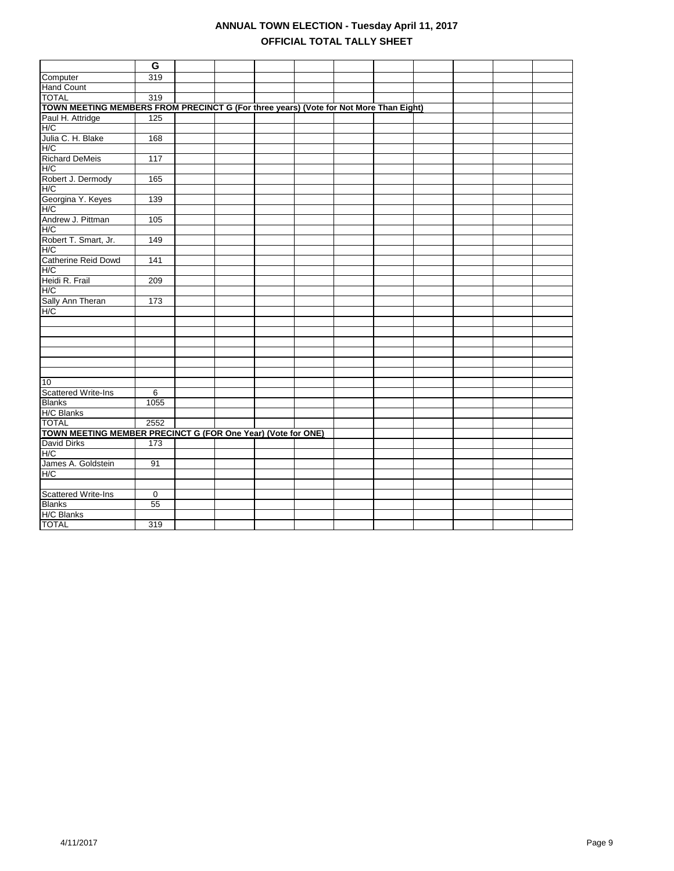|                                                                                       | G              |  |  |  |  |  |
|---------------------------------------------------------------------------------------|----------------|--|--|--|--|--|
| Computer                                                                              | 319            |  |  |  |  |  |
| <b>Hand Count</b>                                                                     |                |  |  |  |  |  |
| <b>TOTAL</b>                                                                          | 319            |  |  |  |  |  |
| TOWN MEETING MEMBERS FROM PRECINCT G (For three years) (Vote for Not More Than Eight) |                |  |  |  |  |  |
| Paul H. Attridge                                                                      | 125            |  |  |  |  |  |
| H/C                                                                                   |                |  |  |  |  |  |
| Julia C. H. Blake                                                                     | 168            |  |  |  |  |  |
| H/C                                                                                   |                |  |  |  |  |  |
| <b>Richard DeMeis</b>                                                                 | 117            |  |  |  |  |  |
| H/C                                                                                   |                |  |  |  |  |  |
| Robert J. Dermody                                                                     | 165            |  |  |  |  |  |
| H/C                                                                                   |                |  |  |  |  |  |
| Georgina Y. Keyes                                                                     | 139            |  |  |  |  |  |
| H/C                                                                                   |                |  |  |  |  |  |
| Andrew J. Pittman                                                                     |                |  |  |  |  |  |
|                                                                                       | 105            |  |  |  |  |  |
| H/C                                                                                   |                |  |  |  |  |  |
| Robert T. Smart, Jr.                                                                  | 149            |  |  |  |  |  |
| H/C                                                                                   |                |  |  |  |  |  |
| Catherine Reid Dowd                                                                   | 141            |  |  |  |  |  |
| H/C                                                                                   |                |  |  |  |  |  |
| Heidi R. Frail                                                                        | 209            |  |  |  |  |  |
| H/C                                                                                   |                |  |  |  |  |  |
| Sally Ann Theran                                                                      | 173            |  |  |  |  |  |
| H/C                                                                                   |                |  |  |  |  |  |
|                                                                                       |                |  |  |  |  |  |
|                                                                                       |                |  |  |  |  |  |
|                                                                                       |                |  |  |  |  |  |
|                                                                                       |                |  |  |  |  |  |
|                                                                                       |                |  |  |  |  |  |
|                                                                                       |                |  |  |  |  |  |
| 10                                                                                    |                |  |  |  |  |  |
| <b>Scattered Write-Ins</b>                                                            | 6              |  |  |  |  |  |
| <b>Blanks</b>                                                                         | 1055           |  |  |  |  |  |
| H/C Blanks                                                                            |                |  |  |  |  |  |
| <b>TOTAL</b>                                                                          | 2552           |  |  |  |  |  |
| TOWN MEETING MEMBER PRECINCT G (FOR One Year) (Vote for ONE)                          |                |  |  |  |  |  |
| <b>David Dirks</b>                                                                    | 173            |  |  |  |  |  |
| H/C                                                                                   |                |  |  |  |  |  |
| James A. Goldstein                                                                    | 91             |  |  |  |  |  |
| H/C                                                                                   |                |  |  |  |  |  |
|                                                                                       |                |  |  |  |  |  |
| <b>Scattered Write-Ins</b>                                                            | $\overline{0}$ |  |  |  |  |  |
| <b>Blanks</b>                                                                         | 55             |  |  |  |  |  |
| H/C Blanks                                                                            |                |  |  |  |  |  |
| <b>TOTAL</b>                                                                          | 319            |  |  |  |  |  |
|                                                                                       |                |  |  |  |  |  |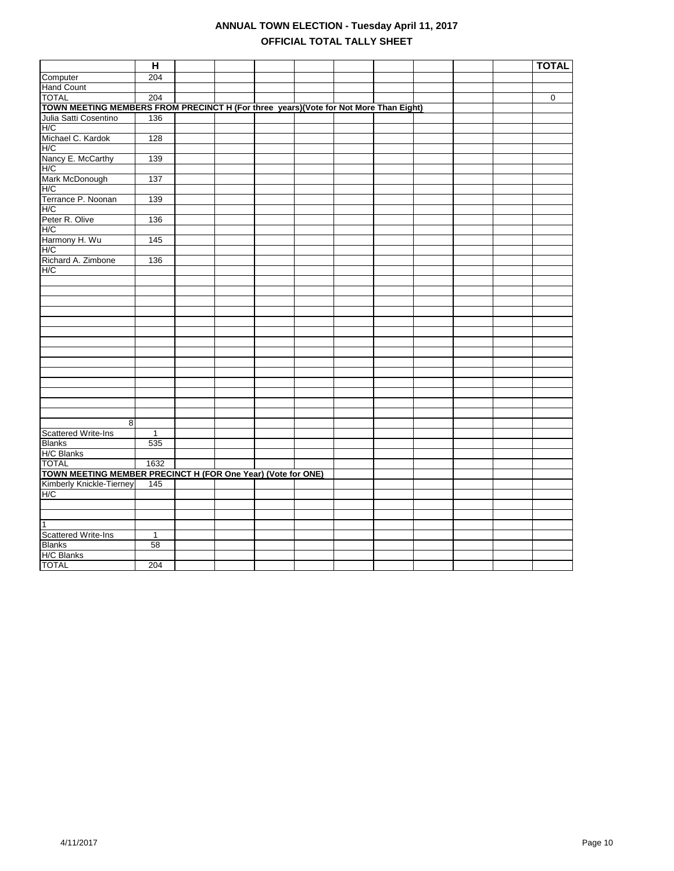|                                                                                       | H              |  |  |  |  | <b>TOTAL</b> |
|---------------------------------------------------------------------------------------|----------------|--|--|--|--|--------------|
| Computer                                                                              | 204            |  |  |  |  |              |
| <b>Hand Count</b>                                                                     |                |  |  |  |  |              |
| <b>TOTAL</b>                                                                          | 204            |  |  |  |  | 0            |
| TOWN MEETING MEMBERS FROM PRECINCT H (For three years) (Vote for Not More Than Eight) |                |  |  |  |  |              |
| Julia Satti Cosentino                                                                 | 136            |  |  |  |  |              |
| H/C                                                                                   |                |  |  |  |  |              |
| Michael C. Kardok                                                                     | 128            |  |  |  |  |              |
| H/C                                                                                   |                |  |  |  |  |              |
| Nancy E. McCarthy                                                                     | 139            |  |  |  |  |              |
| H/C                                                                                   |                |  |  |  |  |              |
| Mark McDonough                                                                        | 137            |  |  |  |  |              |
| H/C                                                                                   |                |  |  |  |  |              |
| Terrance P. Noonan                                                                    | 139            |  |  |  |  |              |
| H/C                                                                                   |                |  |  |  |  |              |
| Peter R. Olive                                                                        | 136            |  |  |  |  |              |
| H/C                                                                                   |                |  |  |  |  |              |
| Harmony H. Wu                                                                         | 145            |  |  |  |  |              |
| H/C                                                                                   |                |  |  |  |  |              |
| Richard A. Zimbone                                                                    | 136            |  |  |  |  |              |
| H/C                                                                                   |                |  |  |  |  |              |
|                                                                                       |                |  |  |  |  |              |
|                                                                                       |                |  |  |  |  |              |
|                                                                                       |                |  |  |  |  |              |
|                                                                                       |                |  |  |  |  |              |
|                                                                                       |                |  |  |  |  |              |
|                                                                                       |                |  |  |  |  |              |
|                                                                                       |                |  |  |  |  |              |
|                                                                                       |                |  |  |  |  |              |
|                                                                                       |                |  |  |  |  |              |
|                                                                                       |                |  |  |  |  |              |
|                                                                                       |                |  |  |  |  |              |
|                                                                                       |                |  |  |  |  |              |
|                                                                                       |                |  |  |  |  |              |
|                                                                                       |                |  |  |  |  |              |
| 8                                                                                     |                |  |  |  |  |              |
| <b>Scattered Write-Ins</b>                                                            | $\overline{1}$ |  |  |  |  |              |
| <b>Blanks</b>                                                                         | 535            |  |  |  |  |              |
| H/C Blanks                                                                            |                |  |  |  |  |              |
| <b>TOTAL</b>                                                                          | 1632           |  |  |  |  |              |
| TOWN MEETING MEMBER PRECINCT H (FOR One Year) (Vote for ONE)                          |                |  |  |  |  |              |
| Kimberly Knickle-Tierney                                                              | 145            |  |  |  |  |              |
| H/C                                                                                   |                |  |  |  |  |              |
|                                                                                       |                |  |  |  |  |              |
|                                                                                       |                |  |  |  |  |              |
| $\overline{1}$                                                                        |                |  |  |  |  |              |
| <b>Scattered Write-Ins</b>                                                            | $\mathbf{1}$   |  |  |  |  |              |
| <b>Blanks</b>                                                                         | 58             |  |  |  |  |              |
| H/C Blanks                                                                            |                |  |  |  |  |              |
| <b>TOTAL</b>                                                                          | 204            |  |  |  |  |              |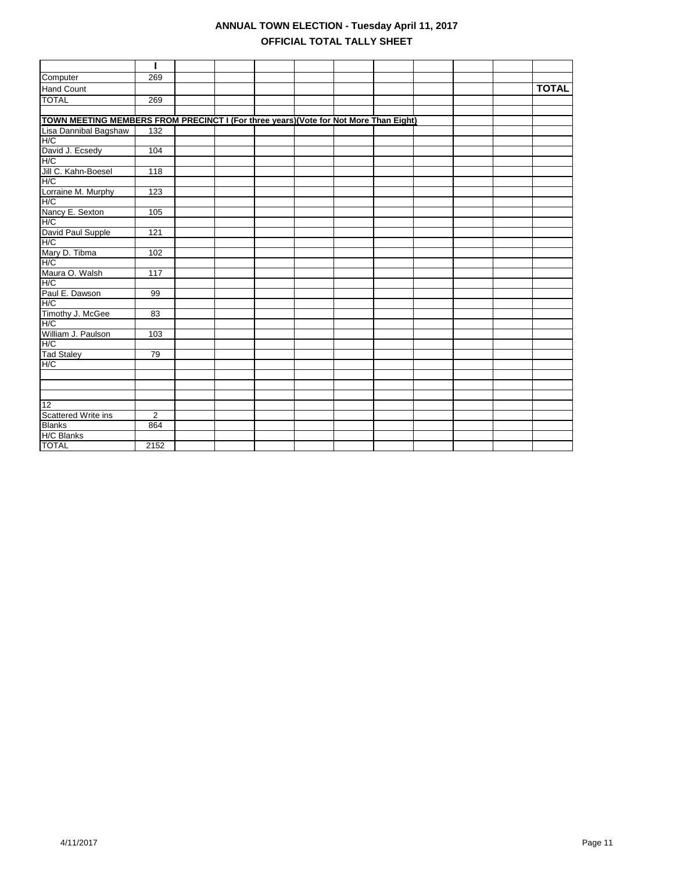|                                                                                       | I              |  |  |  |  |              |
|---------------------------------------------------------------------------------------|----------------|--|--|--|--|--------------|
| Computer                                                                              | 269            |  |  |  |  |              |
| <b>Hand Count</b>                                                                     |                |  |  |  |  | <b>TOTAL</b> |
| <b>TOTAL</b>                                                                          | 269            |  |  |  |  |              |
|                                                                                       |                |  |  |  |  |              |
| TOWN MEETING MEMBERS FROM PRECINCT I (For three years) (Vote for Not More Than Eight) |                |  |  |  |  |              |
| Lisa Dannibal Bagshaw                                                                 | 132            |  |  |  |  |              |
| H/C                                                                                   |                |  |  |  |  |              |
| David J. Ecsedy                                                                       | 104            |  |  |  |  |              |
| H/C                                                                                   |                |  |  |  |  |              |
| Jill C. Kahn-Boesel                                                                   | 118            |  |  |  |  |              |
| H/C                                                                                   |                |  |  |  |  |              |
| Lorraine M. Murphy                                                                    | 123            |  |  |  |  |              |
| H/C                                                                                   |                |  |  |  |  |              |
| Nancy E. Sexton                                                                       | 105            |  |  |  |  |              |
| H/C                                                                                   |                |  |  |  |  |              |
| David Paul Supple                                                                     | 121            |  |  |  |  |              |
| H/C                                                                                   |                |  |  |  |  |              |
| Mary D. Tibma<br>H/C                                                                  | 102            |  |  |  |  |              |
|                                                                                       |                |  |  |  |  |              |
| Maura O. Walsh                                                                        | 117            |  |  |  |  |              |
|                                                                                       |                |  |  |  |  |              |
| Paul E. Dawson                                                                        | 99             |  |  |  |  |              |
| H/C                                                                                   |                |  |  |  |  |              |
| Timothy J. McGee                                                                      | 83             |  |  |  |  |              |
|                                                                                       |                |  |  |  |  |              |
| William J. Paulson                                                                    | 103            |  |  |  |  |              |
| H/C                                                                                   |                |  |  |  |  |              |
| <b>Tad Staley</b>                                                                     | 79             |  |  |  |  |              |
| H/C                                                                                   |                |  |  |  |  |              |
|                                                                                       |                |  |  |  |  |              |
|                                                                                       |                |  |  |  |  |              |
|                                                                                       |                |  |  |  |  |              |
| 12                                                                                    |                |  |  |  |  |              |
| <b>Scattered Write ins</b>                                                            | $\overline{2}$ |  |  |  |  |              |
| <b>Blanks</b>                                                                         | 864            |  |  |  |  |              |
| <b>H/C Blanks</b>                                                                     |                |  |  |  |  |              |
| <b>TOTAL</b>                                                                          | 2152           |  |  |  |  |              |